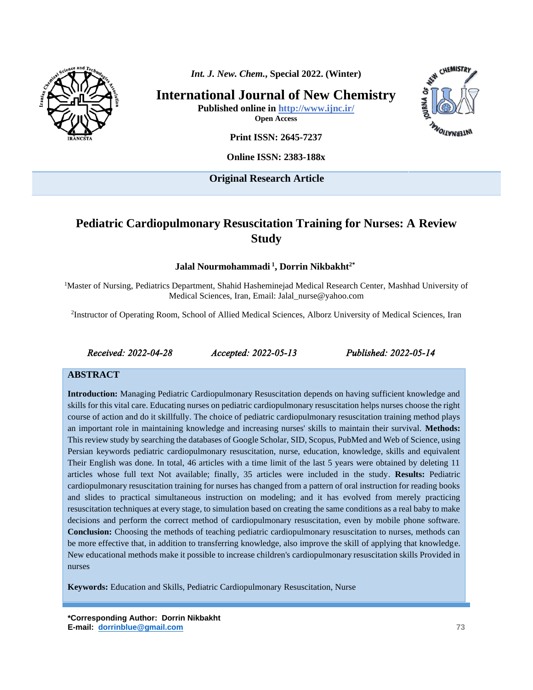

*Int. J. New. Chem.***, Special 2022. (Winter)**

**International Journal of New Chemistry**

**Published online in<http://www.ijnc.ir/> Open Access**



**Print ISSN: 2645-7237**

**Online ISSN: 2383-188x** 

**Original Research Article** 

# **Pediatric Cardiopulmonary Resuscitation Training for Nurses: A Review Study**

**Jalal Nourmohammadi <sup>1</sup> , Dorrin Nikbakht2\*** 

<sup>1</sup>Master of Nursing, Pediatrics Department, Shahid Hasheminejad Medical Research Center, Mashhad University of Medical Sciences, Iran, Email: Jalal\_nurse@yahoo.com

<sup>2</sup>Instructor of Operating Room, School of Allied Medical Sciences, Alborz University of Medical Sciences, Iran

*Received: 2022-04-28 Accepted: 2022-05-13 Published: 2022-05-14* 

#### **ABSTRACT**

**Introduction:** Managing Pediatric Cardiopulmonary Resuscitation depends on having sufficient knowledge and skills for this vital care. Educating nurses on pediatric cardiopulmonary resuscitation helps nurses choose the right course of action and do it skillfully. The choice of pediatric cardiopulmonary resuscitation training method plays an important role in maintaining knowledge and increasing nurses' skills to maintain their survival. **Methods:** This review study by searching the databases of Google Scholar, SID, Scopus, PubMed and Web of Science, using Persian keywords pediatric cardiopulmonary resuscitation, nurse, education, knowledge, skills and equivalent Their English was done. In total, 46 articles with a time limit of the last 5 years were obtained by deleting 11 articles whose full text Not available; finally, 35 articles were included in the study. **Results:** Pediatric cardiopulmonary resuscitation training for nurses has changed from a pattern of oral instruction for reading books and slides to practical simultaneous instruction on modeling; and it has evolved from merely practicing resuscitation techniques at every stage, to simulation based on creating the same conditions as a real baby to make decisions and perform the correct method of cardiopulmonary resuscitation, even by mobile phone software. **Conclusion:** Choosing the methods of teaching pediatric cardiopulmonary resuscitation to nurses, methods can be more effective that, in addition to transferring knowledge, also improve the skill of applying that knowledge. New educational methods make it possible to increase children's cardiopulmonary resuscitation skills Provided in nurses

**Keywords:** Education and Skills, Pediatric Cardiopulmonary Resuscitation, Nurse

**\*Corresponding Author: Dorrin Nikbakht E-mail: [dorrinblue@gmail.com](mailto:dorrinblue@gmail.com) 73**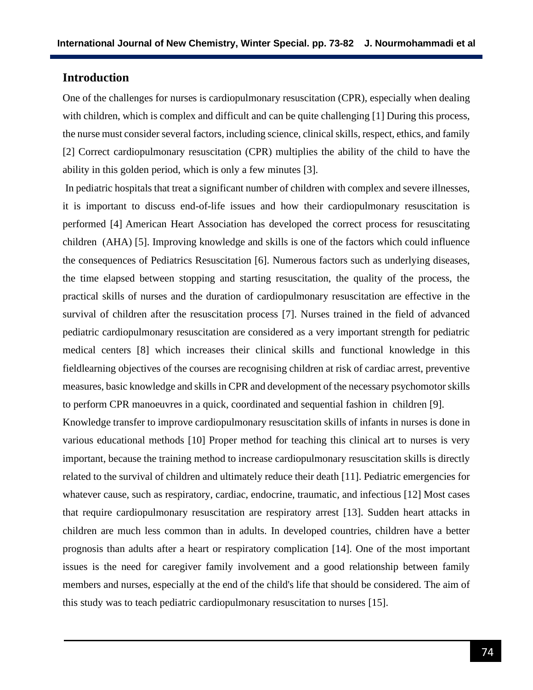# **Introduction**

One of the challenges for nurses is cardiopulmonary resuscitation (CPR), especially when dealing with children, which is complex and difficult and can be quite challenging [1] During this process, the nurse must consider several factors, including science, clinical skills, respect, ethics, and family [2] Correct cardiopulmonary resuscitation (CPR) multiplies the ability of the child to have the ability in this golden period, which is only a few minutes [3].

In pediatric hospitals that treat a significant number of children with complex and severe illnesses, it is important to discuss end-of-life issues and how their cardiopulmonary resuscitation is performed [4] American Heart Association has developed the correct process for resuscitating children (AHA) [5]. Improving knowledge and skills is one of the factors which could influence the consequences of Pediatrics Resuscitation [6]. Numerous factors such as underlying diseases, the time elapsed between stopping and starting resuscitation, the quality of the process, the practical skills of nurses and the duration of cardiopulmonary resuscitation are effective in the survival of children after the resuscitation process [7]. Nurses trained in the field of advanced pediatric cardiopulmonary resuscitation are considered as a very important strength for pediatric medical centers [8] which increases their clinical skills and functional knowledge in this fieldlearning objectives of the courses are recognising children at risk of cardiac arrest, preventive measures, basic knowledge and skills in CPR and development of the necessary psychomotor skills to perform CPR manoeuvres in a quick, coordinated and sequential fashion in children [9].

Knowledge transfer to improve cardiopulmonary resuscitation skills of infants in nurses is done in various educational methods [10] Proper method for teaching this clinical art to nurses is very important, because the training method to increase cardiopulmonary resuscitation skills is directly related to the survival of children and ultimately reduce their death [11]. Pediatric emergencies for whatever cause, such as respiratory, cardiac, endocrine, traumatic, and infectious [12] Most cases that require cardiopulmonary resuscitation are respiratory arrest [13]. Sudden heart attacks in children are much less common than in adults. In developed countries, children have a better prognosis than adults after a heart or respiratory complication [14]. One of the most important issues is the need for caregiver family involvement and a good relationship between family members and nurses, especially at the end of the child's life that should be considered. The aim of this study was to teach pediatric cardiopulmonary resuscitation to nurses [15].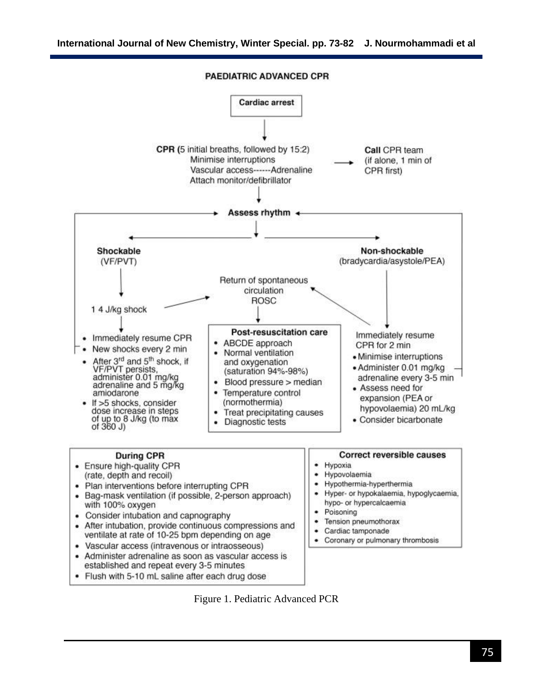**PAEDIATRIC ADVANCED CPR** 



Figure 1. Pediatric Advanced PCR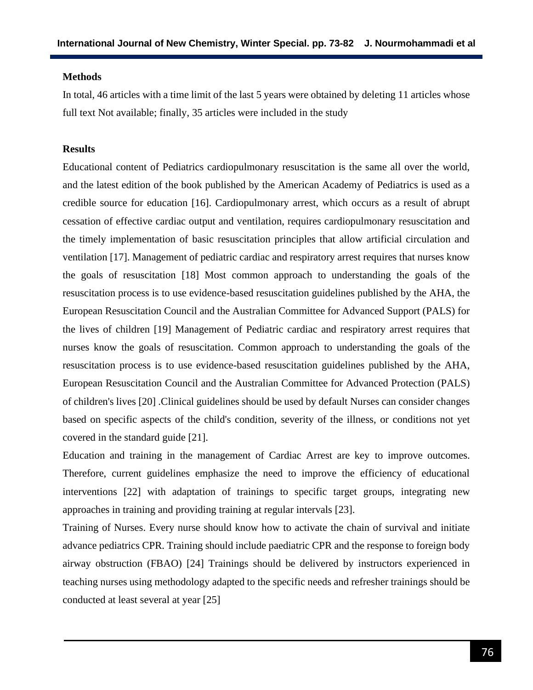#### **Methods**

In total, 46 articles with a time limit of the last 5 years were obtained by deleting 11 articles whose full text Not available; finally, 35 articles were included in the study

## **Results**

Educational content of Pediatrics cardiopulmonary resuscitation is the same all over the world, and the latest edition of the book published by the American Academy of Pediatrics is used as a credible source for education [16]. Cardiopulmonary arrest, which occurs as a result of abrupt cessation of effective cardiac output and ventilation, requires cardiopulmonary resuscitation and the timely implementation of basic resuscitation principles that allow artificial circulation and ventilation [17]. Management of pediatric cardiac and respiratory arrest requires that nurses know the goals of resuscitation [18] Most common approach to understanding the goals of the resuscitation process is to use evidence-based resuscitation guidelines published by the AHA, the European Resuscitation Council and the Australian Committee for Advanced Support (PALS) for the lives of children [19] Management of Pediatric cardiac and respiratory arrest requires that nurses know the goals of resuscitation. Common approach to understanding the goals of the resuscitation process is to use evidence-based resuscitation guidelines published by the AHA, European Resuscitation Council and the Australian Committee for Advanced Protection (PALS) of children's lives [20] .Clinical guidelines should be used by default Nurses can consider changes based on specific aspects of the child's condition, severity of the illness, or conditions not yet covered in the standard guide [21].

Education and training in the management of Cardiac Arrest are key to improve outcomes. Therefore, current guidelines emphasize the need to improve the efficiency of educational interventions [22] with adaptation of trainings to specific target groups, integrating new approaches in training and providing training at regular intervals [23].

Training of Nurses. Every nurse should know how to activate the chain of survival and initiate advance pediatrics CPR. Training should include paediatric CPR and the response to foreign body airway obstruction (FBAO) [24] Trainings should be delivered by instructors experienced in teaching nurses using methodology adapted to the specific needs and refresher trainings should be conducted at least several at year [25]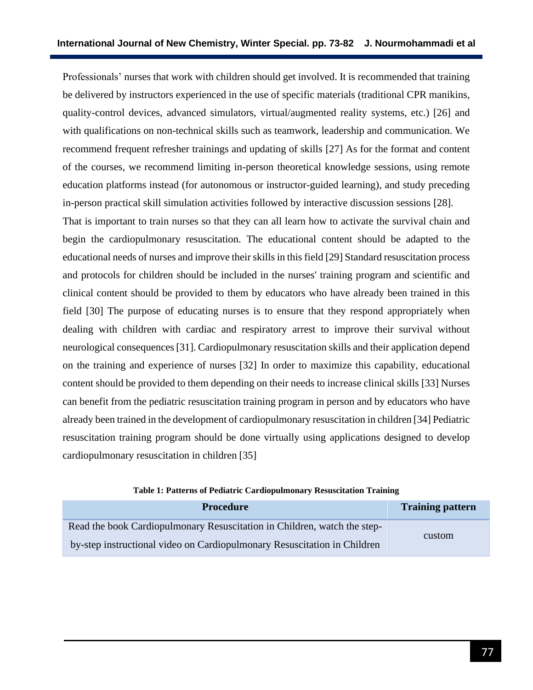Professionals' nurses that work with children should get involved. It is recommended that training be delivered by instructors experienced in the use of specific materials (traditional CPR manikins, quality-control devices, advanced simulators, virtual/augmented reality systems, etc.) [26] and with qualifications on non-technical skills such as teamwork, leadership and communication. We recommend frequent refresher trainings and updating of skills [27] As for the format and content of the courses, we recommend limiting in-person theoretical knowledge sessions, using remote education platforms instead (for autonomous or instructor-guided learning), and study preceding in-person practical skill simulation activities followed by interactive discussion sessions [28].

That is important to train nurses so that they can all learn how to activate the survival chain and begin the cardiopulmonary resuscitation. The educational content should be adapted to the educational needs of nurses and improve their skills in this field [29] Standard resuscitation process and protocols for children should be included in the nurses' training program and scientific and clinical content should be provided to them by educators who have already been trained in this field [30] The purpose of educating nurses is to ensure that they respond appropriately when dealing with children with cardiac and respiratory arrest to improve their survival without neurological consequences[31]. Cardiopulmonary resuscitation skills and their application depend on the training and experience of nurses [32] In order to maximize this capability, educational content should be provided to them depending on their needs to increase clinical skills [33] Nurses can benefit from the pediatric resuscitation training program in person and by educators who have already been trained in the development of cardiopulmonary resuscitation in children [34] Pediatric resuscitation training program should be done virtually using applications designed to develop cardiopulmonary resuscitation in children [35]

**Table 1: Patterns of Pediatric Cardiopulmonary Resuscitation Training**

| <b>Procedure</b>                                                         | <b>Training pattern</b> |
|--------------------------------------------------------------------------|-------------------------|
| Read the book Cardiopulmonary Resuscitation in Children, watch the step- | custom                  |
| by-step instructional video on Cardiopulmonary Resuscitation in Children |                         |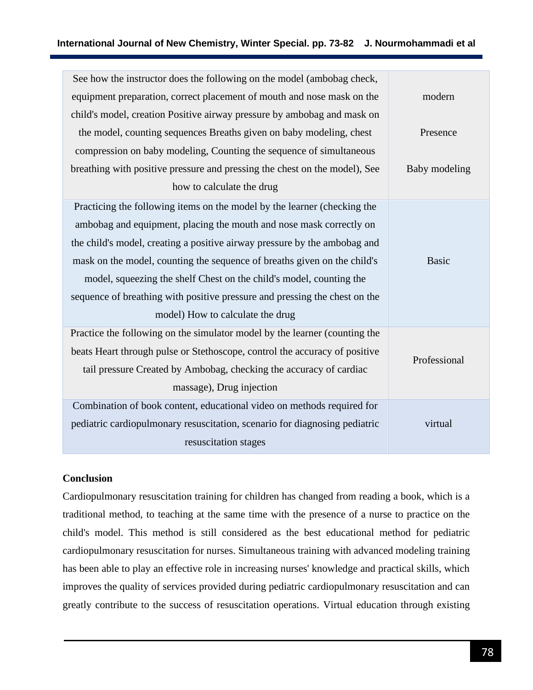| See how the instructor does the following on the model (ambobag check,     |               |
|----------------------------------------------------------------------------|---------------|
| equipment preparation, correct placement of mouth and nose mask on the     | modern        |
| child's model, creation Positive airway pressure by ambobag and mask on    |               |
| the model, counting sequences Breaths given on baby modeling, chest        | Presence      |
| compression on baby modeling, Counting the sequence of simultaneous        |               |
| breathing with positive pressure and pressing the chest on the model), See | Baby modeling |
| how to calculate the drug                                                  |               |
| Practicing the following items on the model by the learner (checking the   |               |
| ambobag and equipment, placing the mouth and nose mask correctly on        |               |
| the child's model, creating a positive airway pressure by the ambobag and  |               |
| mask on the model, counting the sequence of breaths given on the child's   | <b>Basic</b>  |
| model, squeezing the shelf Chest on the child's model, counting the        |               |
| sequence of breathing with positive pressure and pressing the chest on the |               |
| model) How to calculate the drug                                           |               |
| Practice the following on the simulator model by the learner (counting the |               |
| beats Heart through pulse or Stethoscope, control the accuracy of positive | Professional  |
| tail pressure Created by Ambobag, checking the accuracy of cardiac         |               |
| massage), Drug injection                                                   |               |
| Combination of book content, educational video on methods required for     |               |
| pediatric cardiopulmonary resuscitation, scenario for diagnosing pediatric | virtual       |
| resuscitation stages                                                       |               |

### **Conclusion**

Cardiopulmonary resuscitation training for children has changed from reading a book, which is a traditional method, to teaching at the same time with the presence of a nurse to practice on the child's model. This method is still considered as the best educational method for pediatric cardiopulmonary resuscitation for nurses. Simultaneous training with advanced modeling training has been able to play an effective role in increasing nurses' knowledge and practical skills, which improves the quality of services provided during pediatric cardiopulmonary resuscitation and can greatly contribute to the success of resuscitation operations. Virtual education through existing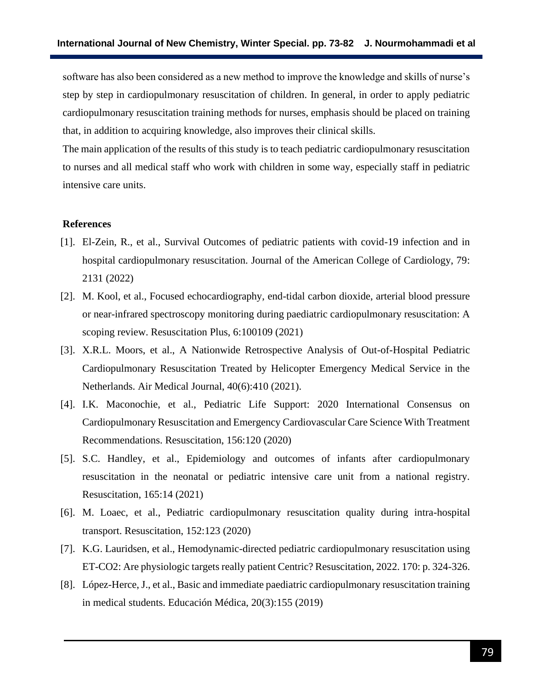software has also been considered as a new method to improve the knowledge and skills of nurse's step by step in cardiopulmonary resuscitation of children. In general, in order to apply pediatric cardiopulmonary resuscitation training methods for nurses, emphasis should be placed on training that, in addition to acquiring knowledge, also improves their clinical skills.

The main application of the results of this study is to teach pediatric cardiopulmonary resuscitation to nurses and all medical staff who work with children in some way, especially staff in pediatric intensive care units.

#### **References**

- [1]. El-Zein, R., et al., Survival Outcomes of pediatric patients with covid-19 infection and in hospital cardiopulmonary resuscitation. Journal of the American College of Cardiology, 79: 2131 (2022)
- [2]. M. Kool, et al., Focused echocardiography, end-tidal carbon dioxide, arterial blood pressure or near-infrared spectroscopy monitoring during paediatric cardiopulmonary resuscitation: A scoping review. Resuscitation Plus, 6:100109 (2021)
- [3]. X.R.L. Moors, et al., A Nationwide Retrospective Analysis of Out-of-Hospital Pediatric Cardiopulmonary Resuscitation Treated by Helicopter Emergency Medical Service in the Netherlands. Air Medical Journal, 40(6):410 (2021).
- [4]. I.K. Maconochie, et al., Pediatric Life Support: 2020 International Consensus on Cardiopulmonary Resuscitation and Emergency Cardiovascular Care Science With Treatment Recommendations. Resuscitation, 156:120 (2020)
- [5]. S.C. Handley, et al., Epidemiology and outcomes of infants after cardiopulmonary resuscitation in the neonatal or pediatric intensive care unit from a national registry. Resuscitation, 165:14 (2021)
- [6]. M. Loaec, et al., Pediatric cardiopulmonary resuscitation quality during intra-hospital transport. Resuscitation, 152:123 (2020)
- [7]. K.G. Lauridsen, et al., Hemodynamic-directed pediatric cardiopulmonary resuscitation using ET-CO2: Are physiologic targets really patient Centric? Resuscitation, 2022. 170: p. 324-326.
- [8]. López-Herce, J., et al., Basic and immediate paediatric cardiopulmonary resuscitation training in medical students. Educación Médica, 20(3):155 (2019)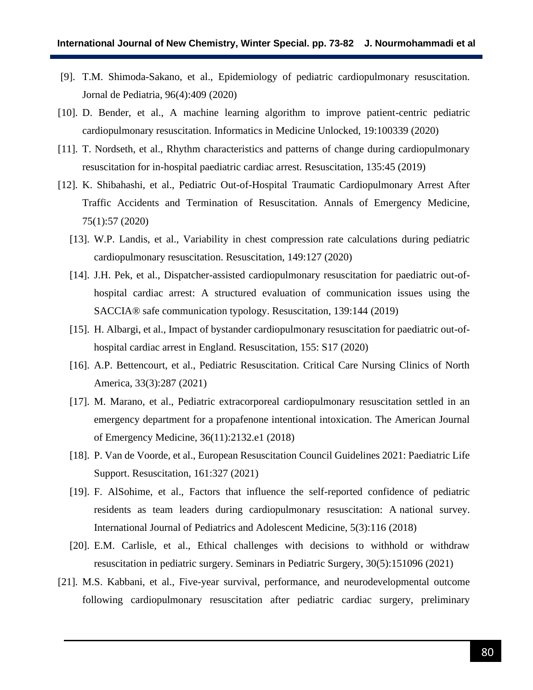- [9]. T.M. Shimoda-Sakano, et al., Epidemiology of pediatric cardiopulmonary resuscitation. Jornal de Pediatria, 96(4):409 (2020)
- [10]. D. Bender, et al., A machine learning algorithm to improve patient-centric pediatric cardiopulmonary resuscitation. Informatics in Medicine Unlocked, 19:100339 (2020)
- [11]. T. Nordseth, et al., Rhythm characteristics and patterns of change during cardiopulmonary resuscitation for in-hospital paediatric cardiac arrest. Resuscitation, 135:45 (2019)
- [12]. K. Shibahashi, et al., Pediatric Out-of-Hospital Traumatic Cardiopulmonary Arrest After Traffic Accidents and Termination of Resuscitation. Annals of Emergency Medicine, 75(1):57 (2020)
	- [13]. W.P. Landis, et al., Variability in chest compression rate calculations during pediatric cardiopulmonary resuscitation. Resuscitation, 149:127 (2020)
	- [14]. J.H. Pek, et al., Dispatcher-assisted cardiopulmonary resuscitation for paediatric out-ofhospital cardiac arrest: A structured evaluation of communication issues using the SACCIA® safe communication typology. Resuscitation, 139:144 (2019)
	- [15]. H. Albargi, et al., Impact of bystander cardiopulmonary resuscitation for paediatric out-ofhospital cardiac arrest in England. Resuscitation, 155: S17 (2020)
	- [16]. A.P. Bettencourt, et al., Pediatric Resuscitation. Critical Care Nursing Clinics of North America, 33(3):287 (2021)
	- [17]. M. Marano, et al., Pediatric extracorporeal cardiopulmonary resuscitation settled in an emergency department for a propafenone intentional intoxication. The American Journal of Emergency Medicine, 36(11):2132.e1 (2018)
	- [18]. P. Van de Voorde, et al., European Resuscitation Council Guidelines 2021: Paediatric Life Support. Resuscitation, 161:327 (2021)
	- [19]. F. AlSohime, et al., Factors that influence the self-reported confidence of pediatric residents as team leaders during cardiopulmonary resuscitation: A national survey. International Journal of Pediatrics and Adolescent Medicine, 5(3):116 (2018)
	- [20]. E.M. Carlisle, et al., Ethical challenges with decisions to withhold or withdraw resuscitation in pediatric surgery. Seminars in Pediatric Surgery, 30(5):151096 (2021)
- [21]. M.S. Kabbani, et al., Five-year survival, performance, and neurodevelopmental outcome following cardiopulmonary resuscitation after pediatric cardiac surgery, preliminary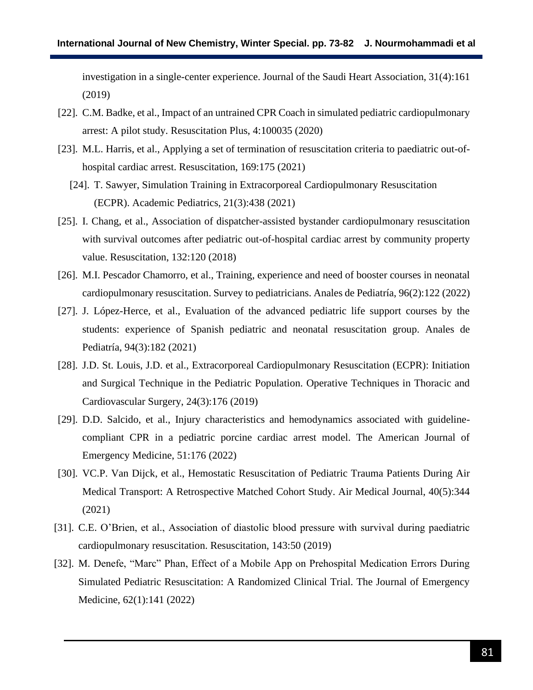investigation in a single-center experience. Journal of the Saudi Heart Association, 31(4):161 (2019)

- [22]. C.M. Badke, et al., Impact of an untrained CPR Coach in simulated pediatric cardiopulmonary arrest: A pilot study. Resuscitation Plus, 4:100035 (2020)
- [23]. M.L. Harris, et al., Applying a set of termination of resuscitation criteria to paediatric out-ofhospital cardiac arrest. Resuscitation, 169:175 (2021)
	- [24]. T. Sawyer, Simulation Training in Extracorporeal Cardiopulmonary Resuscitation (ECPR). Academic Pediatrics, 21(3):438 (2021)
- [25]. I. Chang, et al., Association of dispatcher-assisted bystander cardiopulmonary resuscitation with survival outcomes after pediatric out-of-hospital cardiac arrest by community property value. Resuscitation, 132:120 (2018)
- [26]. M.I. Pescador Chamorro, et al., Training, experience and need of booster courses in neonatal cardiopulmonary resuscitation. Survey to pediatricians. Anales de Pediatría, 96(2):122 (2022)
- [27]. J. López-Herce, et al., Evaluation of the advanced pediatric life support courses by the students: experience of Spanish pediatric and neonatal resuscitation group. Anales de Pediatría, 94(3):182 (2021)
- [28]. J.D. St. Louis, J.D. et al., Extracorporeal Cardiopulmonary Resuscitation (ECPR): Initiation and Surgical Technique in the Pediatric Population. Operative Techniques in Thoracic and Cardiovascular Surgery, 24(3):176 (2019)
- [29]. D.D. Salcido, et al., Injury characteristics and hemodynamics associated with guidelinecompliant CPR in a pediatric porcine cardiac arrest model. The American Journal of Emergency Medicine, 51:176 (2022)
- [30]. VC.P. Van Dijck, et al., Hemostatic Resuscitation of Pediatric Trauma Patients During Air Medical Transport: A Retrospective Matched Cohort Study. Air Medical Journal, 40(5):344 (2021)
- [31]. C.E. O'Brien, et al., Association of diastolic blood pressure with survival during paediatric cardiopulmonary resuscitation. Resuscitation, 143:50 (2019)
- [32]. M. Denefe, "Marc" Phan, Effect of a Mobile App on Prehospital Medication Errors During Simulated Pediatric Resuscitation: A Randomized Clinical Trial. The Journal of Emergency Medicine, 62(1):141 (2022)